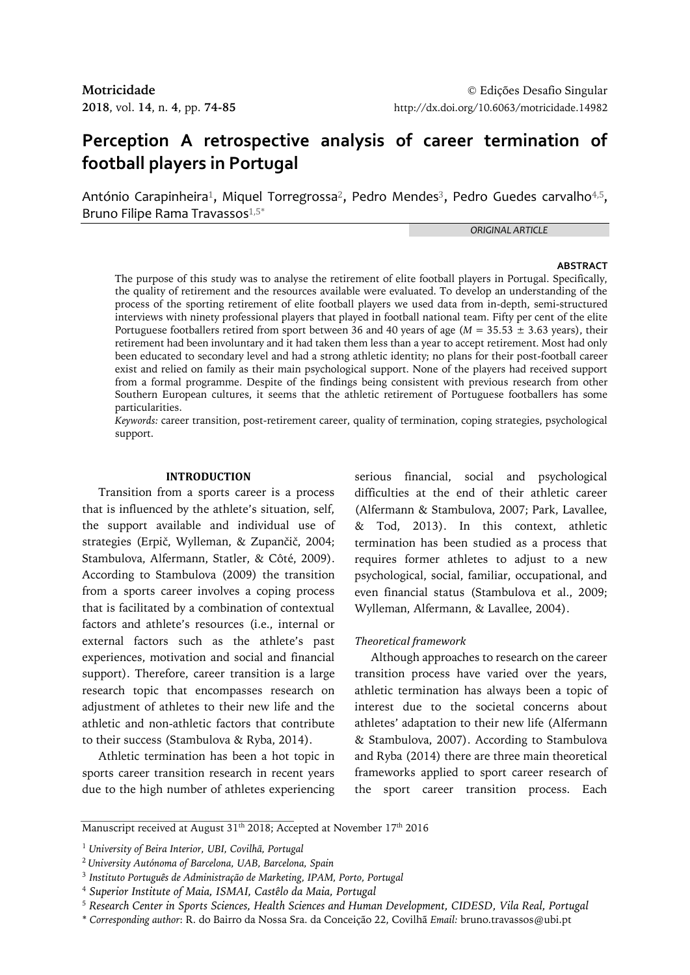# **Perception A retrospective analysis of career termination of football players in Portugal**

António Carapinheira<sup>1</sup>, Miquel Torregrossa<sup>2</sup>, Pedro Mendes<sup>3</sup>, Pedro Guedes carvalho<sup>4,5</sup>, Bruno Filipe Rama Travassos<sup>1,5\*</sup>

*ORIGINAL ARTICLE*

#### **ABSTRACT**

The purpose of this study was to analyse the retirement of elite football players in Portugal. Specifically, the quality of retirement and the resources available were evaluated. To develop an understanding of the process of the sporting retirement of elite football players we used data from in-depth, semi-structured interviews with ninety professional players that played in football national team. Fifty per cent of the elite Portuguese footballers retired from sport between 36 and 40 years of age (*M* = 35.53 ± 3.63 years), their retirement had been involuntary and it had taken them less than a year to accept retirement. Most had only been educated to secondary level and had a strong athletic identity; no plans for their post-football career exist and relied on family as their main psychological support. None of the players had received support from a formal programme. Despite of the findings being consistent with previous research from other Southern European cultures, it seems that the athletic retirement of Portuguese footballers has some particularities.

*Keywords:* career transition, post-retirement career, quality of termination, coping strategies, psychological support.

#### **INTRODUCTION**

Transition from a sports career is a process that is influenced by the athlete's situation, self, the support available and individual use of strategies (Erpič, Wylleman, & Zupančič, 2004; Stambulova, Alfermann, Statler, & Côté, 2009). According to Stambulova (2009) the transition from a sports career involves a coping process that is facilitated by a combination of contextual factors and athlete's resources (i.e., internal or external factors such as the athlete's past experiences, motivation and social and financial support). Therefore, career transition is a large research topic that encompasses research on adjustment of athletes to their new life and the athletic and non-athletic factors that contribute to their success (Stambulova & Ryba, 2014).

Athletic termination has been a hot topic in sports career transition research in recent years due to the high number of athletes experiencing serious financial, social and psychological difficulties at the end of their athletic career (Alfermann & Stambulova, 2007; Park, Lavallee, & Tod, 2013). In this context, athletic termination has been studied as a process that requires former athletes to adjust to a new psychological, social, familiar, occupational, and even financial status (Stambulova et al., 2009; Wylleman, Alfermann, & Lavallee, 2004).

### *Theoretical framework*

Although approaches to research on the career transition process have varied over the years, athletic termination has always been a topic of interest due to the societal concerns about athletes' adaptation to their new life (Alfermann & Stambulova, 2007). According to Stambulova and Ryba (2014) there are three main theoretical frameworks applied to sport career research of the sport career transition process. Each

Manuscript received at August 31<sup>th</sup> 2018; Accepted at November 17<sup>th</sup> 2016

<sup>1</sup> *University of Beira Interior, UBI, Covilhã, Portugal*

<sup>2</sup>*University Autónoma of Barcelona, UAB, Barcelona, Spain*

<sup>3</sup> *Instituto Português de Administração de Marketing, IPAM, Porto, Portugal*

<sup>4</sup> *Superior Institute of Maia, ISMAI, Castêlo da Maia, Portugal*

<sup>5</sup> *Research Center in Sports Sciences, Health Sciences and Human Development, CIDESD, Vila Real, Portugal*

<sup>\*</sup> *Corresponding author*: R. do Bairro da Nossa Sra. da Conceição 22, Covilhã *Email:* bruno.travassos@ubi.pt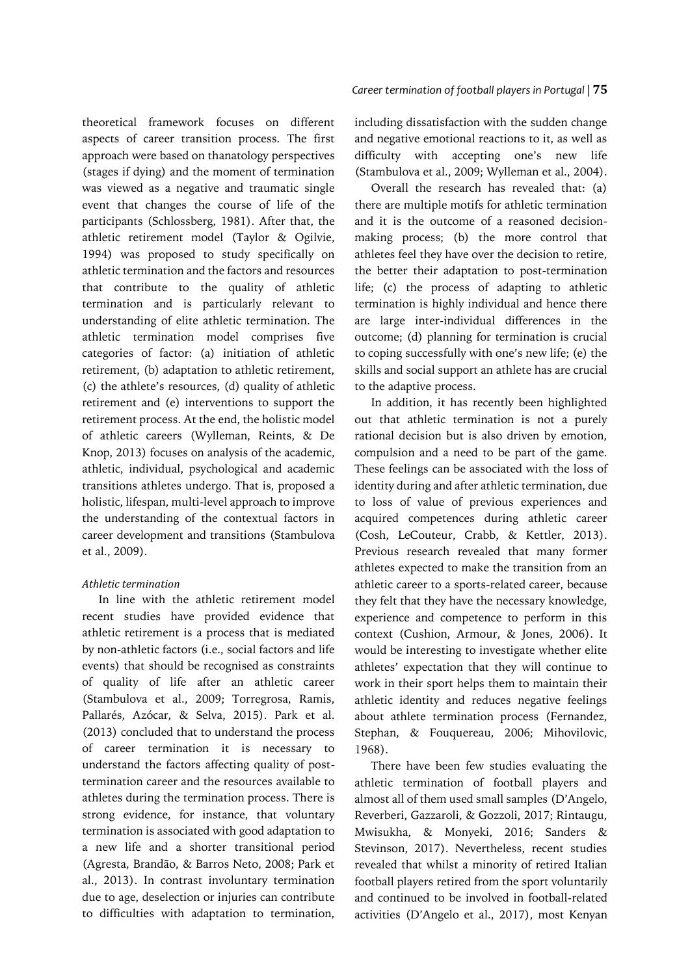theoretical framework focuses on different aspects of career transition process. The first approach were based on thanatology perspectives (stages if dying) and the moment of termination was viewed as a negative and traumatic single event that changes the course of life of the participants (Schlossberg, 1981). After that, the athletic retirement model (Taylor & Ogilvie, 1994) was proposed to study specifically on athletic termination and the factors and resources that contribute to the quality of athletic termination and is particularly relevant to understanding of elite athletic termination. The athletic termination model comprises five categories of factor: (a) initiation of athletic retirement, (b) adaptation to athletic retirement, (c) the athlete's resources, (d) quality of athletic retirement and (e) interventions to support the retirement process. At the end, the holistic model of athletic careers (Wylleman, Reints, & De Knop, 2013) focuses on analysis of the academic, athletic, individual, psychological and academic transitions athletes undergo. That is, proposed a holistic, lifespan, multi-level approach to improve the understanding of the contextual factors in career development and transitions (Stambulova et al., 2009).

### *Athletic termination*

In line with the athletic retirement model recent studies have provided evidence that athletic retirement is a process that is mediated by non-athletic factors (i.e., social factors and life events) that should be recognised as constraints of quality of life after an athletic career (Stambulova et al., 2009; Torregrosa, Ramis, Pallarés, Azócar, & Selva, 2015). Park et al. (2013) concluded that to understand the process of career termination it is necessary to understand the factors affecting quality of posttermination career and the resources available to athletes during the termination process. There is strong evidence, for instance, that voluntary termination is associated with good adaptation to a new life and a shorter transitional period (Agresta, Brandão, & Barros Neto, 2008; Park et al., 2013). In contrast involuntary termination due to age, deselection or injuries can contribute to difficulties with adaptation to termination,

including dissatisfaction with the sudden change and negative emotional reactions to it, as well as difficulty with accepting one's new life (Stambulova et al., 2009; Wylleman et al., 2004).

Overall the research has revealed that: (a) there are multiple motifs for athletic termination and it is the outcome of a reasoned decisionmaking process; (b) the more control that athletes feel they have over the decision to retire, the better their adaptation to post-termination life; (c) the process of adapting to athletic termination is highly individual and hence there are large inter-individual differences in the outcome; (d) planning for termination is crucial to coping successfully with one's new life; (e) the skills and social support an athlete has are crucial to the adaptive process.

In addition, it has recently been highlighted out that athletic termination is not a purely rational decision but is also driven by emotion, compulsion and a need to be part of the game. These feelings can be associated with the loss of identity during and after athletic termination, due to loss of value of previous experiences and acquired competences during athletic career (Cosh, LeCouteur, Crabb, & Kettler, 2013). Previous research revealed that many former athletes expected to make the transition from an athletic career to a sports-related career, because they felt that they have the necessary knowledge, experience and competence to perform in this context (Cushion, Armour, & Jones, 2006). It would be interesting to investigate whether elite athletes' expectation that they will continue to work in their sport helps them to maintain their athletic identity and reduces negative feelings about athlete termination process (Fernandez, Stephan, & Fouquereau, 2006; Mihovilovic, 1968).

There have been few studies evaluating the athletic termination of football players and almost all of them used small samples (D'Angelo, Reverberi, Gazzaroli, & Gozzoli, 2017; Rintaugu, Mwisukha, & Monyeki, 2016; Sanders & Stevinson, 2017). Nevertheless, recent studies revealed that whilst a minority of retired Italian football players retired from the sport voluntarily and continued to be involved in football-related activities (D'Angelo et al., 2017), most Kenyan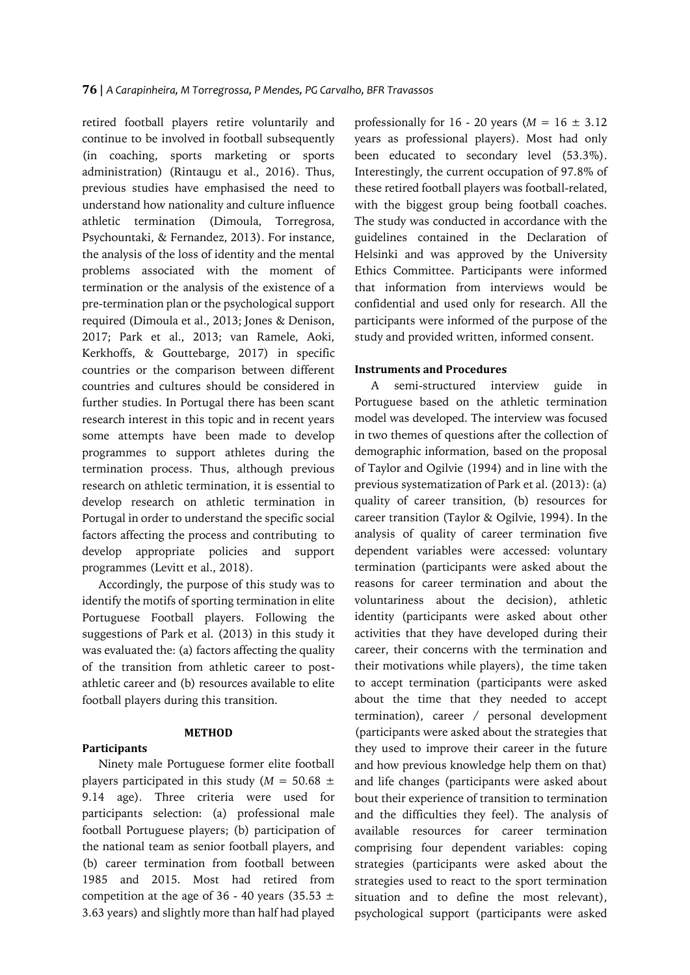retired football players retire voluntarily and continue to be involved in football subsequently (in coaching, sports marketing or sports administration) (Rintaugu et al., 2016). Thus, previous studies have emphasised the need to understand how nationality and culture influence athletic termination (Dimoula, Torregrosa, Psychountaki, & Fernandez, 2013). For instance, the analysis of the loss of identity and the mental problems associated with the moment of termination or the analysis of the existence of a pre-termination plan or the psychological support required (Dimoula et al., 2013; Jones & Denison, 2017; Park et al., 2013; van Ramele, Aoki, Kerkhoffs, & Gouttebarge, 2017) in specific countries or the comparison between different countries and cultures should be considered in further studies. In Portugal there has been scant research interest in this topic and in recent years some attempts have been made to develop programmes to support athletes during the termination process. Thus, although previous research on athletic termination, it is essential to develop research on athletic termination in Portugal in order to understand the specific social factors affecting the process and contributing to develop appropriate policies and support programmes (Levitt et al., 2018).

Accordingly, the purpose of this study was to identify the motifs of sporting termination in elite Portuguese Football players. Following the suggestions of Park et al. (2013) in this study it was evaluated the: (a) factors affecting the quality of the transition from athletic career to postathletic career and (b) resources available to elite football players during this transition.

### **METHOD**

**Participants**

Ninety male Portuguese former elite football players participated in this study ( $M = 50.68 \pm 1$ 9.14 age). Three criteria were used for participants selection: (a) professional male football Portuguese players; (b) participation of the national team as senior football players, and (b) career termination from football between 1985 and 2015. Most had retired from competition at the age of 36 - 40 years (35.53  $\pm$ 3.63 years) and slightly more than half had played professionally for 16 - 20 years  $(M = 16 \pm 3.12)$ years as professional players). Most had only been educated to secondary level (53.3%). Interestingly, the current occupation of 97.8% of these retired football players was football-related, with the biggest group being football coaches. The study was conducted in accordance with the guidelines contained in the Declaration of Helsinki and was approved by the University Ethics Committee. Participants were informed that information from interviews would be confidential and used only for research. All the participants were informed of the purpose of the study and provided written, informed consent.

### **Instruments and Procedures**

A semi-structured interview guide in Portuguese based on the athletic termination model was developed. The interview was focused in two themes of questions after the collection of demographic information, based on the proposal of Taylor and Ogilvie (1994) and in line with the previous systematization of Park et al. (2013): (a) quality of career transition, (b) resources for career transition (Taylor & Ogilvie, 1994). In the analysis of quality of career termination five dependent variables were accessed: voluntary termination (participants were asked about the reasons for career termination and about the voluntariness about the decision), athletic identity (participants were asked about other activities that they have developed during their career, their concerns with the termination and their motivations while players), the time taken to accept termination (participants were asked about the time that they needed to accept termination), career / personal development (participants were asked about the strategies that they used to improve their career in the future and how previous knowledge help them on that) and life changes (participants were asked about bout their experience of transition to termination and the difficulties they feel). The analysis of available resources for career termination comprising four dependent variables: coping strategies (participants were asked about the strategies used to react to the sport termination situation and to define the most relevant), psychological support (participants were asked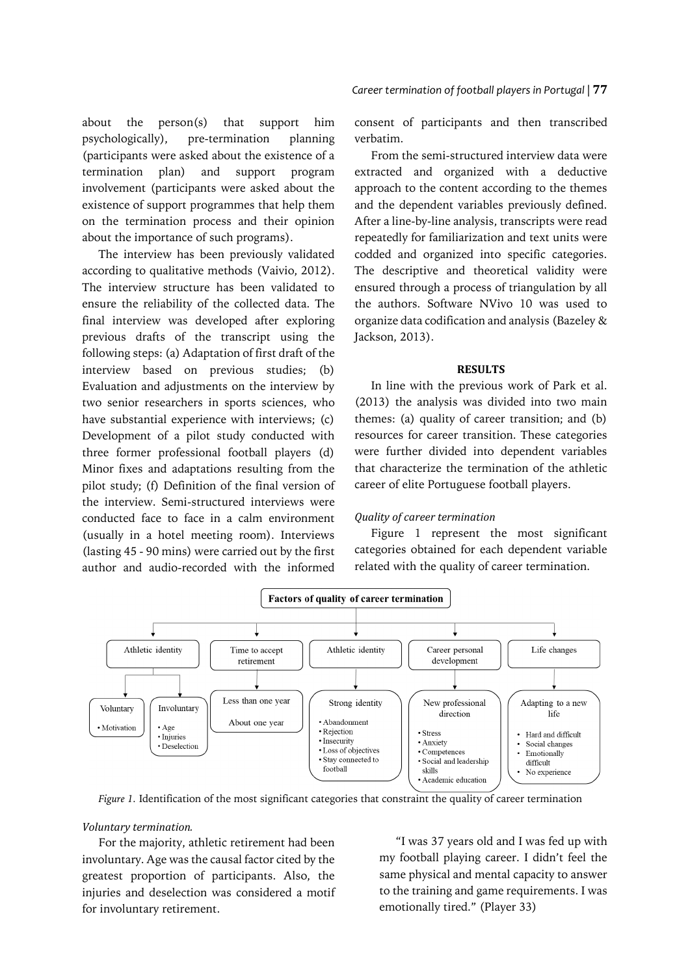about the person(s) that support him psychologically), pre-termination planning (participants were asked about the existence of a termination plan) and support program involvement (participants were asked about the existence of support programmes that help them on the termination process and their opinion about the importance of such programs).

The interview has been previously validated according to qualitative methods (Vaivio, 2012). The interview structure has been validated to ensure the reliability of the collected data. The final interview was developed after exploring previous drafts of the transcript using the following steps: (a) Adaptation of first draft of the interview based on previous studies; (b) Evaluation and adjustments on the interview by two senior researchers in sports sciences, who have substantial experience with interviews; (c) Development of a pilot study conducted with three former professional football players (d) Minor fixes and adaptations resulting from the pilot study; (f) Definition of the final version of the interview. Semi-structured interviews were conducted face to face in a calm environment (usually in a hotel meeting room). Interviews (lasting 45 - 90 mins) were carried out by the first author and audio-recorded with the informed

consent of participants and then transcribed verbatim.

From the semi-structured interview data were extracted and organized with a deductive approach to the content according to the themes and the dependent variables previously defined. After a line-by-line analysis, transcripts were read repeatedly for familiarization and text units were codded and organized into specific categories. The descriptive and theoretical validity were ensured through a process of triangulation by all the authors. Software NVivo 10 was used to organize data codification and analysis (Bazeley & Jackson, 2013).

### **RESULTS**

In line with the previous work of Park et al. (2013) the analysis was divided into two main themes: (a) quality of career transition; and (b) resources for career transition. These categories were further divided into dependent variables that characterize the termination of the athletic career of elite Portuguese football players.

### *Quality of career termination*

Figure 1 represent the most significant categories obtained for each dependent variable related with the quality of career termination.



*Figure 1.* Identification of the most significant categories that constraint the quality of career termination

### *Voluntary termination.*

For the majority, athletic retirement had been involuntary. Age was the causal factor cited by the greatest proportion of participants. Also, the injuries and deselection was considered a motif for involuntary retirement.

"I was 37 years old and I was fed up with my football playing career. I didn't feel the same physical and mental capacity to answer to the training and game requirements. I was emotionally tired." (Player 33)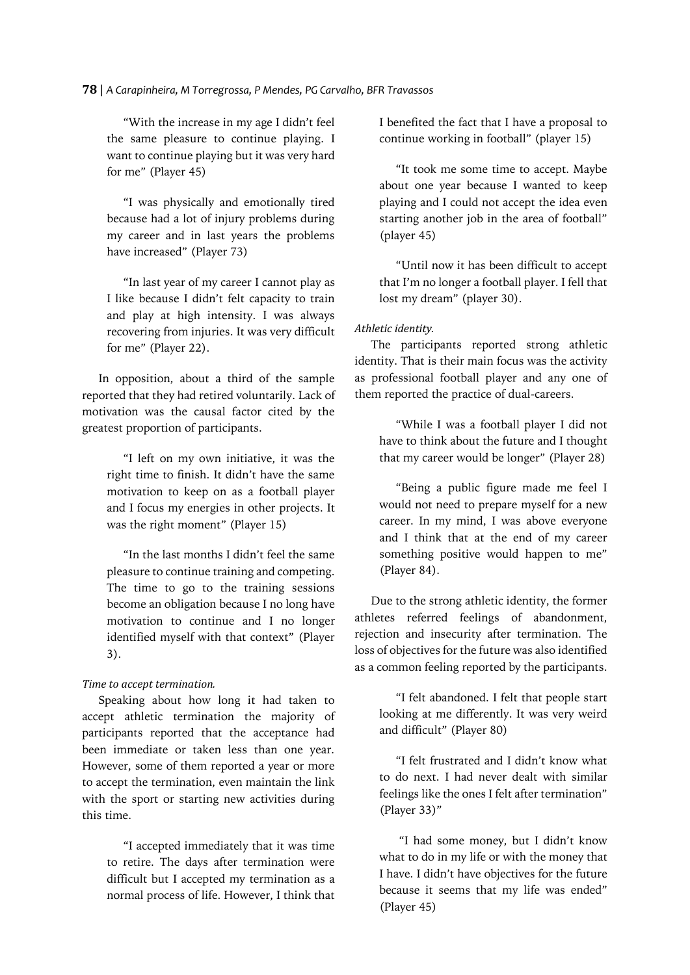### **78** | *A Carapinheira, M Torregrossa, P Mendes, PG Carvalho, BFR Travassos*

"With the increase in my age I didn't feel the same pleasure to continue playing. I want to continue playing but it was very hard for me" (Player 45)

"I was physically and emotionally tired because had a lot of injury problems during my career and in last years the problems have increased" (Player 73)

"In last year of my career I cannot play as I like because I didn't felt capacity to train and play at high intensity. I was always recovering from injuries. It was very difficult for me" (Player 22).

In opposition, about a third of the sample reported that they had retired voluntarily. Lack of motivation was the causal factor cited by the greatest proportion of participants.

"I left on my own initiative, it was the right time to finish. It didn't have the same motivation to keep on as a football player and I focus my energies in other projects. It was the right moment" (Player 15)

"In the last months I didn't feel the same pleasure to continue training and competing. The time to go to the training sessions become an obligation because I no long have motivation to continue and I no longer identified myself with that context" (Player 3).

### *Time to accept termination.*

Speaking about how long it had taken to accept athletic termination the majority of participants reported that the acceptance had been immediate or taken less than one year. However, some of them reported a year or more to accept the termination, even maintain the link with the sport or starting new activities during this time.

"I accepted immediately that it was time to retire. The days after termination were difficult but I accepted my termination as a normal process of life. However, I think that I benefited the fact that I have a proposal to continue working in football" (player 15)

"It took me some time to accept. Maybe about one year because I wanted to keep playing and I could not accept the idea even starting another job in the area of football" (player 45)

"Until now it has been difficult to accept that I'm no longer a football player. I fell that lost my dream" (player 30).

### *Athletic identity.*

The participants reported strong athletic identity. That is their main focus was the activity as professional football player and any one of them reported the practice of dual-careers.

"While I was a football player I did not have to think about the future and I thought that my career would be longer" (Player 28)

"Being a public figure made me feel I would not need to prepare myself for a new career. In my mind, I was above everyone and I think that at the end of my career something positive would happen to me" (Player 84).

Due to the strong athletic identity, the former athletes referred feelings of abandonment, rejection and insecurity after termination. The loss of objectives for the future was also identified as a common feeling reported by the participants.

"I felt abandoned. I felt that people start looking at me differently. It was very weird and difficult" (Player 80)

"I felt frustrated and I didn't know what to do next. I had never dealt with similar feelings like the ones I felt after termination" (Player 33)"

"I had some money, but I didn't know what to do in my life or with the money that I have. I didn't have objectives for the future because it seems that my life was ended" (Player 45)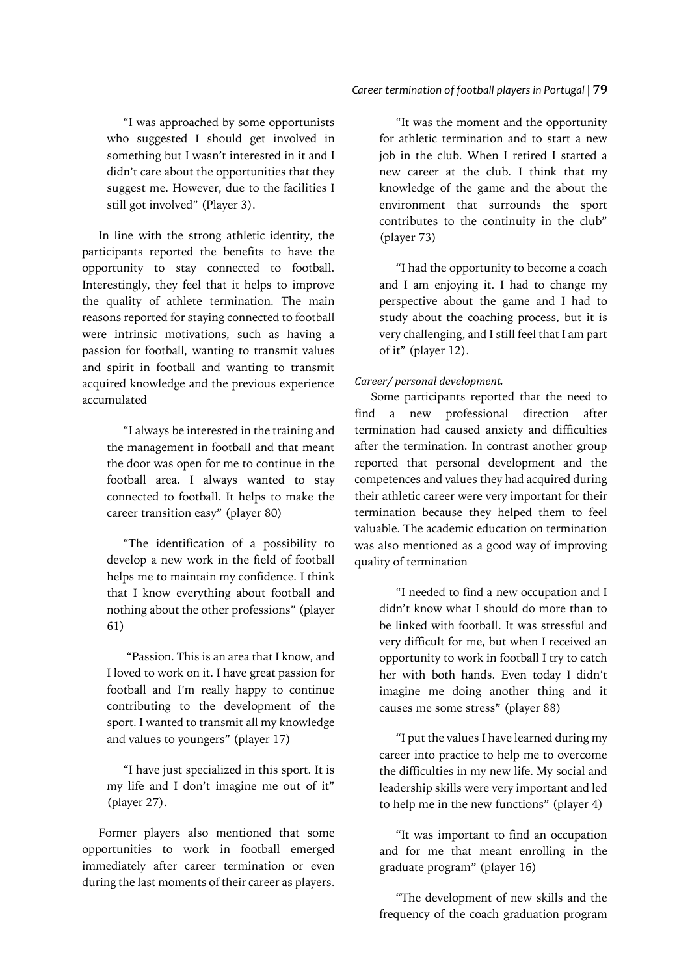### *Career termination of football players in Portugal |* **79**

"I was approached by some opportunists who suggested I should get involved in something but I wasn't interested in it and I didn't care about the opportunities that they suggest me. However, due to the facilities I still got involved" (Player 3).

In line with the strong athletic identity, the participants reported the benefits to have the opportunity to stay connected to football. Interestingly, they feel that it helps to improve the quality of athlete termination. The main reasons reported for staying connected to football were intrinsic motivations, such as having a passion for football, wanting to transmit values and spirit in football and wanting to transmit acquired knowledge and the previous experience accumulated

"I always be interested in the training and the management in football and that meant the door was open for me to continue in the football area. I always wanted to stay connected to football. It helps to make the career transition easy" (player 80)

"The identification of a possibility to develop a new work in the field of football helps me to maintain my confidence. I think that I know everything about football and nothing about the other professions" (player 61)

"Passion. This is an area that I know, and I loved to work on it. I have great passion for football and I'm really happy to continue contributing to the development of the sport. I wanted to transmit all my knowledge and values to youngers" (player 17)

"I have just specialized in this sport. It is my life and I don't imagine me out of it" (player 27).

Former players also mentioned that some opportunities to work in football emerged immediately after career termination or even during the last moments of their career as players.

"It was the moment and the opportunity for athletic termination and to start a new job in the club. When I retired I started a new career at the club. I think that my knowledge of the game and the about the environment that surrounds the sport contributes to the continuity in the club" (player 73)

"I had the opportunity to become a coach and I am enjoying it. I had to change my perspective about the game and I had to study about the coaching process, but it is very challenging, and I still feel that I am part of it" (player 12).

## *Career/ personal development.*

Some participants reported that the need to find a new professional direction after termination had caused anxiety and difficulties after the termination. In contrast another group reported that personal development and the competences and values they had acquired during their athletic career were very important for their termination because they helped them to feel valuable. The academic education on termination was also mentioned as a good way of improving quality of termination

"I needed to find a new occupation and I didn't know what I should do more than to be linked with football. It was stressful and very difficult for me, but when I received an opportunity to work in football I try to catch her with both hands. Even today I didn't imagine me doing another thing and it causes me some stress" (player 88)

"I put the values I have learned during my career into practice to help me to overcome the difficulties in my new life. My social and leadership skills were very important and led to help me in the new functions" (player 4)

"It was important to find an occupation and for me that meant enrolling in the graduate program" (player 16)

"The development of new skills and the frequency of the coach graduation program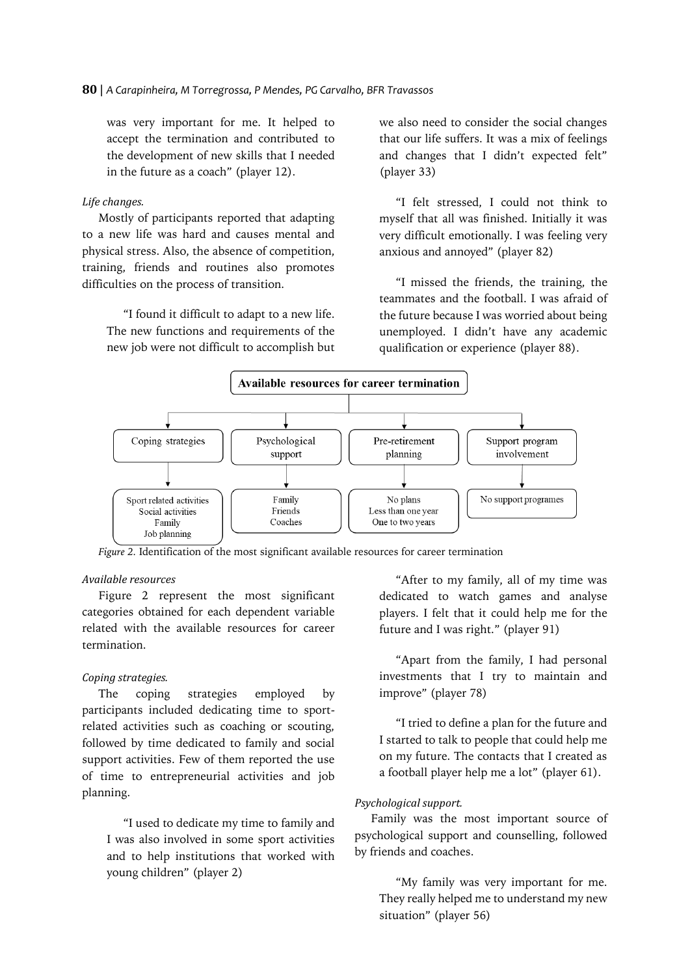was very important for me. It helped to accept the termination and contributed to the development of new skills that I needed in the future as a coach" (player 12).

### *Life changes.*

Mostly of participants reported that adapting to a new life was hard and causes mental and physical stress. Also, the absence of competition, training, friends and routines also promotes difficulties on the process of transition.

"I found it difficult to adapt to a new life. The new functions and requirements of the new job were not difficult to accomplish but we also need to consider the social changes that our life suffers. It was a mix of feelings and changes that I didn't expected felt" (player 33)

"I felt stressed, I could not think to myself that all was finished. Initially it was very difficult emotionally. I was feeling very anxious and annoyed" (player 82)

"I missed the friends, the training, the teammates and the football. I was afraid of the future because I was worried about being unemployed. I didn't have any academic qualification or experience (player 88).



*Figure 2.* Identification of the most significant available resources for career termination

# *Available resources*

Figure 2 represent the most significant categories obtained for each dependent variable related with the available resources for career termination.

### *Coping strategies.*

The coping strategies employed by participants included dedicating time to sportrelated activities such as coaching or scouting, followed by time dedicated to family and social support activities. Few of them reported the use of time to entrepreneurial activities and job planning.

"I used to dedicate my time to family and I was also involved in some sport activities and to help institutions that worked with young children" (player 2)

"After to my family, all of my time was dedicated to watch games and analyse players. I felt that it could help me for the future and I was right." (player 91)

"Apart from the family, I had personal investments that I try to maintain and improve" (player 78)

"I tried to define a plan for the future and I started to talk to people that could help me on my future. The contacts that I created as a football player help me a lot" (player 61).

### *Psychological support.*

Family was the most important source of psychological support and counselling, followed by friends and coaches.

"My family was very important for me. They really helped me to understand my new situation" (player 56)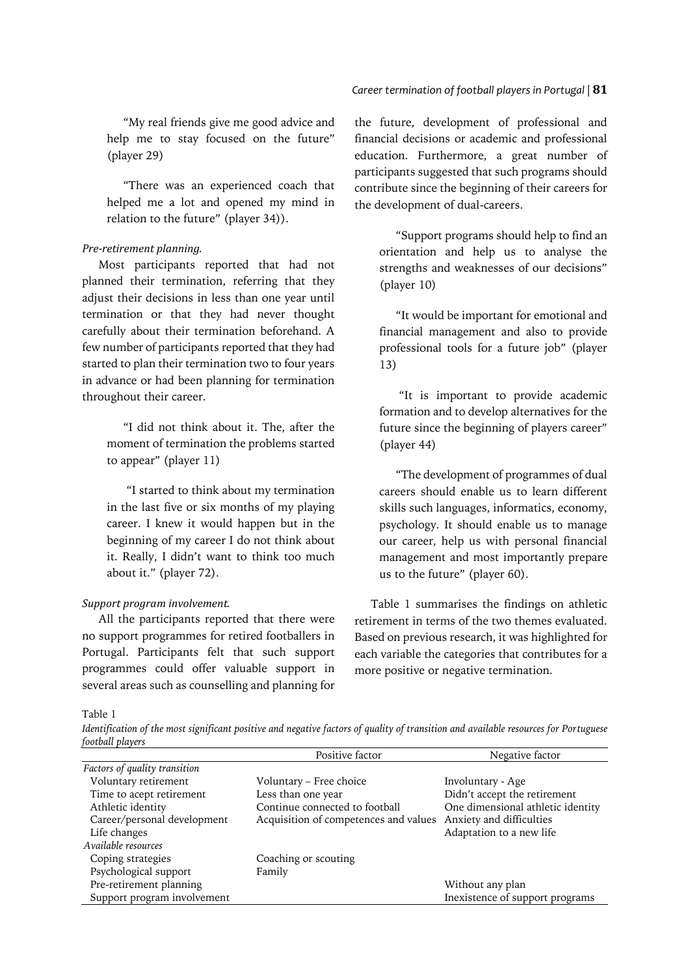"My real friends give me good advice and help me to stay focused on the future" (player 29)

"There was an experienced coach that helped me a lot and opened my mind in relation to the future" (player 34)).

### *Pre-retirement planning.*

Most participants reported that had not planned their termination, referring that they adjust their decisions in less than one year until termination or that they had never thought carefully about their termination beforehand. A few number of participants reported that they had started to plan their termination two to four years in advance or had been planning for termination throughout their career.

"I did not think about it. The, after the moment of termination the problems started to appear" (player 11)

"I started to think about my termination in the last five or six months of my playing career. I knew it would happen but in the beginning of my career I do not think about it. Really, I didn't want to think too much about it." (player 72).

### *Support program involvement.*

All the participants reported that there were no support programmes for retired footballers in Portugal. Participants felt that such support programmes could offer valuable support in several areas such as counselling and planning for

the future, development of professional and financial decisions or academic and professional education. Furthermore, a great number of participants suggested that such programs should contribute since the beginning of their careers for the development of dual-careers.

> "Support programs should help to find an orientation and help us to analyse the strengths and weaknesses of our decisions" (player 10)

> "It would be important for emotional and financial management and also to provide professional tools for a future job" (player 13)

> "It is important to provide academic formation and to develop alternatives for the future since the beginning of players career" (player 44)

> "The development of programmes of dual careers should enable us to learn different skills such languages, informatics, economy, psychology. It should enable us to manage our career, help us with personal financial management and most importantly prepare us to the future" (player 60).

Table 1 summarises the findings on athletic retirement in terms of the two themes evaluated. Based on previous research, it was highlighted for each variable the categories that contributes for a more positive or negative termination.

Table 1

*Identification of the most significant positive and negative factors of quality of transition and available resources for Portuguese football players*

|                               | Positive factor                       | Negative factor                   |
|-------------------------------|---------------------------------------|-----------------------------------|
| Factors of quality transition |                                       |                                   |
| Voluntary retirement          | Voluntary – Free choice               | Involuntary - Age                 |
| Time to acept retirement      | Less than one year                    | Didn't accept the retirement      |
| Athletic identity             | Continue connected to football        | One dimensional athletic identity |
| Career/personal development   | Acquisition of competences and values | Anxiety and difficulties          |
| Life changes                  |                                       | Adaptation to a new life          |
| Available resources           |                                       |                                   |
| Coping strategies             | Coaching or scouting                  |                                   |
| Psychological support         | Family                                |                                   |
| Pre-retirement planning       |                                       | Without any plan                  |
| Support program involvement   |                                       | Inexistence of support programs   |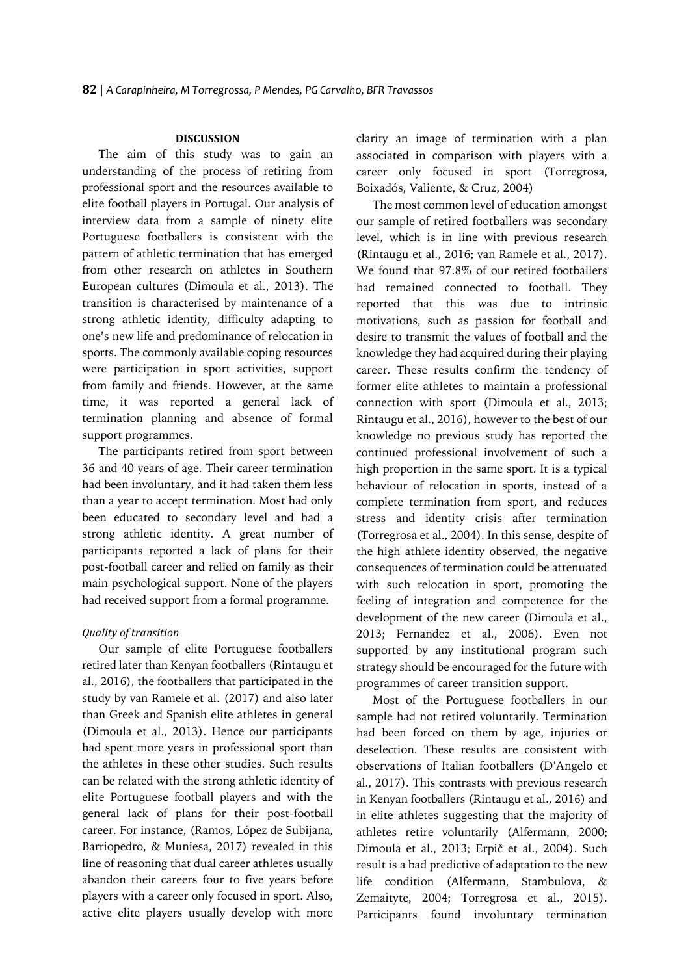### **DISCUSSION**

The aim of this study was to gain an understanding of the process of retiring from professional sport and the resources available to elite football players in Portugal. Our analysis of interview data from a sample of ninety elite Portuguese footballers is consistent with the pattern of athletic termination that has emerged from other research on athletes in Southern European cultures (Dimoula et al., 2013). The transition is characterised by maintenance of a strong athletic identity, difficulty adapting to one's new life and predominance of relocation in sports. The commonly available coping resources were participation in sport activities, support from family and friends. However, at the same time, it was reported a general lack of termination planning and absence of formal support programmes.

The participants retired from sport between 36 and 40 years of age. Their career termination had been involuntary, and it had taken them less than a year to accept termination. Most had only been educated to secondary level and had a strong athletic identity. A great number of participants reported a lack of plans for their post-football career and relied on family as their main psychological support. None of the players had received support from a formal programme.

#### *Quality of transition*

Our sample of elite Portuguese footballers retired later than Kenyan footballers (Rintaugu et al., 2016), the footballers that participated in the study by van Ramele et al. (2017) and also later than Greek and Spanish elite athletes in general (Dimoula et al., 2013). Hence our participants had spent more years in professional sport than the athletes in these other studies. Such results can be related with the strong athletic identity of elite Portuguese football players and with the general lack of plans for their post-football career. For instance, (Ramos, López de Subijana, Barriopedro, & Muniesa, 2017) revealed in this line of reasoning that dual career athletes usually abandon their careers four to five years before players with a career only focused in sport. Also, active elite players usually develop with more

clarity an image of termination with a plan associated in comparison with players with a career only focused in sport (Torregrosa, Boixadós, Valiente, & Cruz, 2004)

The most common level of education amongst our sample of retired footballers was secondary level, which is in line with previous research (Rintaugu et al., 2016; van Ramele et al., 2017). We found that 97.8% of our retired footballers had remained connected to football. They reported that this was due to intrinsic motivations, such as passion for football and desire to transmit the values of football and the knowledge they had acquired during their playing career. These results confirm the tendency of former elite athletes to maintain a professional connection with sport (Dimoula et al., 2013; Rintaugu et al., 2016), however to the best of our knowledge no previous study has reported the continued professional involvement of such a high proportion in the same sport. It is a typical behaviour of relocation in sports, instead of a complete termination from sport, and reduces stress and identity crisis after termination (Torregrosa et al., 2004). In this sense, despite of the high athlete identity observed, the negative consequences of termination could be attenuated with such relocation in sport, promoting the feeling of integration and competence for the development of the new career (Dimoula et al., 2013; Fernandez et al., 2006). Even not supported by any institutional program such strategy should be encouraged for the future with programmes of career transition support.

Most of the Portuguese footballers in our sample had not retired voluntarily. Termination had been forced on them by age, injuries or deselection. These results are consistent with observations of Italian footballers (D'Angelo et al., 2017). This contrasts with previous research in Kenyan footballers (Rintaugu et al., 2016) and in elite athletes suggesting that the majority of athletes retire voluntarily (Alfermann, 2000; Dimoula et al., 2013; Erpič et al., 2004). Such result is a bad predictive of adaptation to the new life condition (Alfermann, Stambulova, & Zemaityte, 2004; Torregrosa et al., 2015). Participants found involuntary termination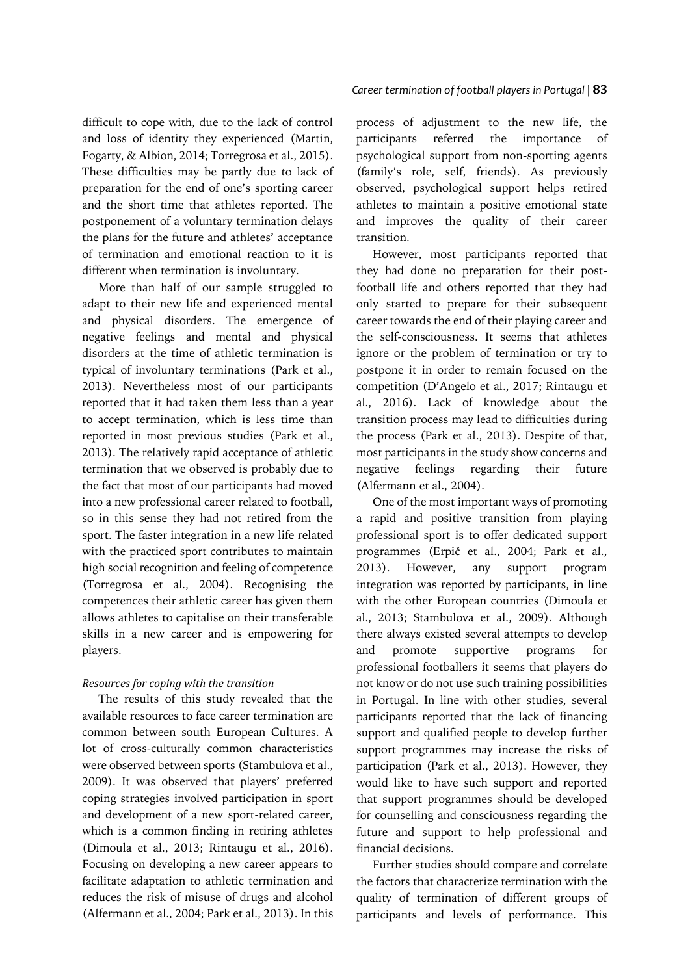difficult to cope with, due to the lack of control and loss of identity they experienced (Martin, Fogarty, & Albion, 2014; Torregrosa et al., 2015). These difficulties may be partly due to lack of preparation for the end of one's sporting career and the short time that athletes reported. The postponement of a voluntary termination delays the plans for the future and athletes' acceptance of termination and emotional reaction to it is different when termination is involuntary.

More than half of our sample struggled to adapt to their new life and experienced mental and physical disorders. The emergence of negative feelings and mental and physical disorders at the time of athletic termination is typical of involuntary terminations (Park et al., 2013). Nevertheless most of our participants reported that it had taken them less than a year to accept termination, which is less time than reported in most previous studies (Park et al., 2013). The relatively rapid acceptance of athletic termination that we observed is probably due to the fact that most of our participants had moved into a new professional career related to football, so in this sense they had not retired from the sport. The faster integration in a new life related with the practiced sport contributes to maintain high social recognition and feeling of competence (Torregrosa et al., 2004). Recognising the competences their athletic career has given them allows athletes to capitalise on their transferable skills in a new career and is empowering for players.

### *Resources for coping with the transition*

The results of this study revealed that the available resources to face career termination are common between south European Cultures. A lot of cross-culturally common characteristics were observed between sports (Stambulova et al., 2009). It was observed that players' preferred coping strategies involved participation in sport and development of a new sport-related career, which is a common finding in retiring athletes (Dimoula et al., 2013; Rintaugu et al., 2016). Focusing on developing a new career appears to facilitate adaptation to athletic termination and reduces the risk of misuse of drugs and alcohol (Alfermann et al., 2004; Park et al., 2013). In this

process of adjustment to the new life, the participants referred the importance of psychological support from non-sporting agents (family's role, self, friends). As previously observed, psychological support helps retired athletes to maintain a positive emotional state and improves the quality of their career transition.

However, most participants reported that they had done no preparation for their postfootball life and others reported that they had only started to prepare for their subsequent career towards the end of their playing career and the self-consciousness. It seems that athletes ignore or the problem of termination or try to postpone it in order to remain focused on the competition (D'Angelo et al., 2017; Rintaugu et al., 2016). Lack of knowledge about the transition process may lead to difficulties during the process (Park et al., 2013). Despite of that, most participants in the study show concerns and negative feelings regarding their future (Alfermann et al., 2004).

One of the most important ways of promoting a rapid and positive transition from playing professional sport is to offer dedicated support programmes (Erpič et al., 2004; Park et al., 2013). However, any support program integration was reported by participants, in line with the other European countries (Dimoula et al., 2013; Stambulova et al., 2009). Although there always existed several attempts to develop and promote supportive programs for professional footballers it seems that players do not know or do not use such training possibilities in Portugal. In line with other studies, several participants reported that the lack of financing support and qualified people to develop further support programmes may increase the risks of participation (Park et al., 2013). However, they would like to have such support and reported that support programmes should be developed for counselling and consciousness regarding the future and support to help professional and financial decisions.

Further studies should compare and correlate the factors that characterize termination with the quality of termination of different groups of participants and levels of performance. This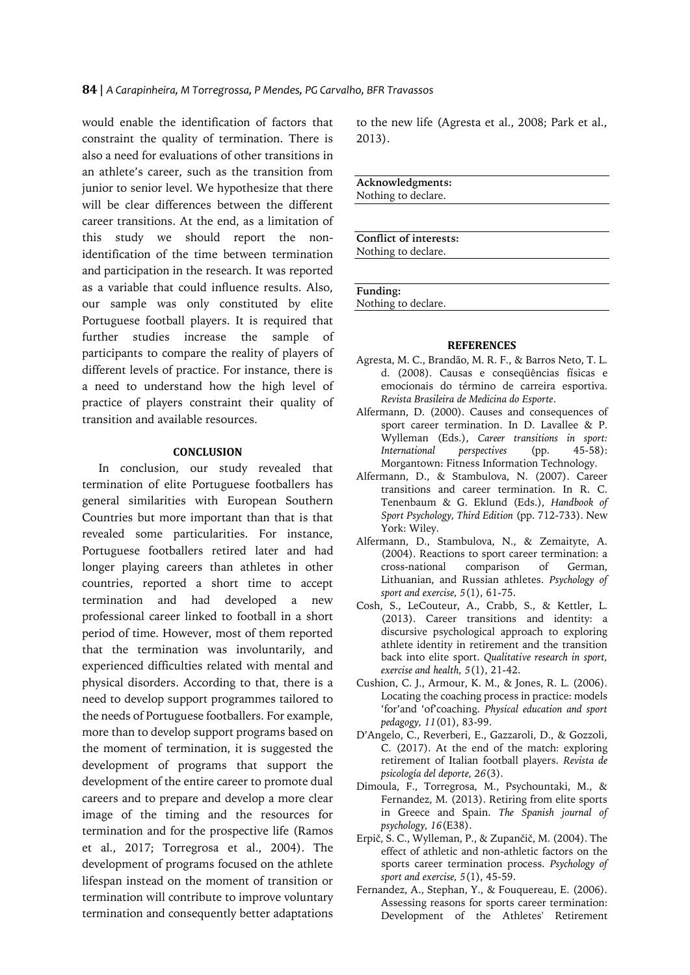would enable the identification of factors that constraint the quality of termination. There is also a need for evaluations of other transitions in an athlete's career, such as the transition from junior to senior level. We hypothesize that there will be clear differences between the different career transitions. At the end, as a limitation of this study we should report the nonidentification of the time between termination and participation in the research. It was reported as a variable that could influence results. Also, our sample was only constituted by elite Portuguese football players. It is required that further studies increase the sample of participants to compare the reality of players of different levels of practice. For instance, there is a need to understand how the high level of practice of players constraint their quality of transition and available resources.

#### **CONCLUSION**

In conclusion, our study revealed that termination of elite Portuguese footballers has general similarities with European Southern Countries but more important than that is that revealed some particularities. For instance, Portuguese footballers retired later and had longer playing careers than athletes in other countries, reported a short time to accept termination and had developed a new professional career linked to football in a short period of time. However, most of them reported that the termination was involuntarily, and experienced difficulties related with mental and physical disorders. According to that, there is a need to develop support programmes tailored to the needs of Portuguese footballers. For example, more than to develop support programs based on the moment of termination, it is suggested the development of programs that support the development of the entire career to promote dual careers and to prepare and develop a more clear image of the timing and the resources for termination and for the prospective life (Ramos et al., 2017; Torregrosa et al., 2004). The development of programs focused on the athlete lifespan instead on the moment of transition or termination will contribute to improve voluntary termination and consequently better adaptations

to the new life (Agresta et al., 2008; Park et al., 2013).

**Acknowledgments:** Nothing to declare.

**Conflict of interests:** Nothing to declare.

**Funding:**

Nothing to declare.

#### **REFERENCES**

- Agresta, M. C., Brandão, M. R. F., & Barros Neto, T. L. d. (2008). Causas e conseqüências físicas e emocionais do término de carreira esportiva. *Revista Brasileira de Medicina do Esporte*.
- Alfermann, D. (2000). Causes and consequences of sport career termination. In D. Lavallee & P. Wylleman (Eds.), *Career transitions in sport: International perspectives* (pp. 45-58): Morgantown: Fitness Information Technology.
- Alfermann, D., & Stambulova, N. (2007). Career transitions and career termination. In R. C. Tenenbaum & G. Eklund (Eds.), *Handbook of Sport Psychology, Third Edition* (pp. 712-733). New York: Wiley.
- Alfermann, D., Stambulova, N., & Zemaityte, A. (2004). Reactions to sport career termination: a<br>cross-national comparison of German, cross-national comparison of German, Lithuanian, and Russian athletes. *Psychology of sport and exercise, 5*(1), 61-75.
- Cosh, S., LeCouteur, A., Crabb, S., & Kettler, L. (2013). Career transitions and identity: a discursive psychological approach to exploring athlete identity in retirement and the transition back into elite sport. *Qualitative research in sport, exercise and health, 5*(1), 21-42.
- Cushion, C. J., Armour, K. M., & Jones, R. L. (2006). Locating the coaching process in practice: models 'for'and 'of'coaching. *Physical education and sport pedagogy, 11*(01), 83-99.
- D'Angelo, C., Reverberi, E., Gazzaroli, D., & Gozzoli, C. (2017). At the end of the match: exploring retirement of Italian football players. *Revista de psicología del deporte, 26*(3).
- Dimoula, F., Torregrosa, M., Psychountaki, M., & Fernandez, M. (2013). Retiring from elite sports in Greece and Spain. *The Spanish journal of psychology, 16*(E38).
- Erpič, S. C., Wylleman, P., & Zupančič, M. (2004). The effect of athletic and non-athletic factors on the sports career termination process. *Psychology of sport and exercise, 5*(1), 45-59.
- Fernandez, A., Stephan, Y., & Fouquereau, E. (2006). Assessing reasons for sports career termination: Development of the Athletes' Retirement